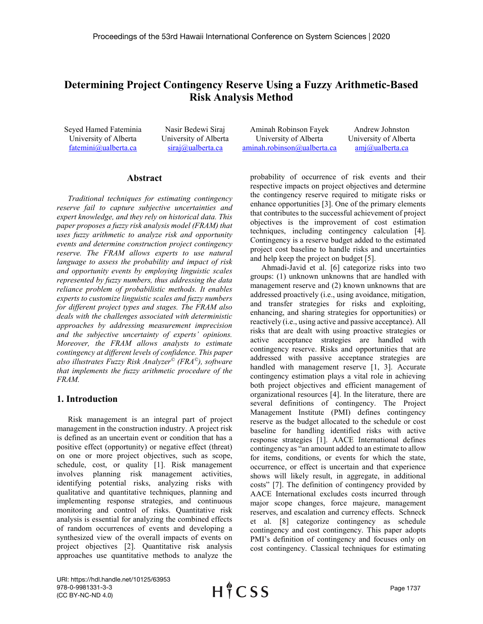# **Determining Project Contingency Reserve Using a Fuzzy Arithmetic-Based Risk Analysis Method**

Seyed Hamed Fateminia University of Alberta [fatemini@ualberta.ca](mailto:fatemini@ualberta.ca)

Nasir Bedewi Siraj University of Alberta [siraj@ualberta.ca](mailto:siraj@ualberta.ca)

Aminah Robinson Fayek University of Alberta [aminah.robinson@ualberta.ca](mailto:aminah.robinson@ualberta.ca)

Andrew Johnston University of Alberta [amj@ualberta.ca](mailto:amj@ualberta.ca)

## **Abstract**

*Traditional techniques for estimating contingency reserve fail to capture subjective uncertainties and expert knowledge, and they rely on historical data. This paper proposes a fuzzy risk analysis model (FRAM) that uses fuzzy arithmetic to analyze risk and opportunity events and determine construction project contingency reserve. The FRAM allows experts to use natural language to assess the probability and impact of risk and opportunity events by employing linguistic scales represented by fuzzy numbers, thus addressing the data reliance problem of probabilistic methods. It enables experts to customize linguistic scales and fuzzy numbers for different project types and stages. The FRAM also deals with the challenges associated with deterministic approaches by addressing measurement imprecision and the subjective uncertainty of experts' opinions. Moreover, the FRAM allows analysts to estimate contingency at different levels of confidence. This paper also illustrates Fuzzy Risk Analyzer© (FRA©), software that implements the fuzzy arithmetic procedure of the FRAM.*

## **1. Introduction**

Risk management is an integral part of project management in the construction industry. A project risk is defined as an uncertain event or condition that has a positive effect (opportunity) or negative effect (threat) on one or more project objectives, such as scope, schedule, cost, or quality [1]. Risk management involves planning risk management activities, identifying potential risks, analyzing risks with qualitative and quantitative techniques, planning and implementing response strategies, and continuous monitoring and control of risks. Quantitative risk analysis is essential for analyzing the combined effects of random occurrences of events and developing a synthesized view of the overall impacts of events on project objectives [2]. Quantitative risk analysis approaches use quantitative methods to analyze the probability of occurrence of risk events and their respective impacts on project objectives and determine the contingency reserve required to mitigate risks or enhance opportunities [3]. One of the primary elements that contributes to the successful achievement of project objectives is the improvement of cost estimation techniques, including contingency calculation [4]. Contingency is a reserve budget added to the estimated project cost baseline to handle risks and uncertainties and help keep the project on budget [5].

Ahmadi-Javid et al. [6] categorize risks into two groups: (1) unknown unknowns that are handled with management reserve and (2) known unknowns that are addressed proactively (i.e., using avoidance, mitigation, and transfer strategies for risks and exploiting, enhancing, and sharing strategies for opportunities) or reactively (i.e., using active and passive acceptance). All risks that are dealt with using proactive strategies or active acceptance strategies are handled with contingency reserve. Risks and opportunities that are addressed with passive acceptance strategies are handled with management reserve [1, 3]. Accurate contingency estimation plays a vital role in achieving both project objectives and efficient management of organizational resources [4]. In the literature, there are several definitions of contingency. The Project Management Institute (PMI) defines contingency reserve as the budget allocated to the schedule or cost baseline for handling identified risks with active response strategies [1]. AACE International defines contingency as "an amount added to an estimate to allow for items, conditions, or events for which the state, occurrence, or effect is uncertain and that experience shows will likely result, in aggregate, in additional costs" [7]. The definition of contingency provided by AACE International excludes costs incurred through major scope changes, force majeure, management reserves, and escalation and currency effects. Schneck et al. [8] categorize contingency as schedule contingency and cost contingency. This paper adopts PMI's definition of contingency and focuses only on cost contingency. Classical techniques for estimating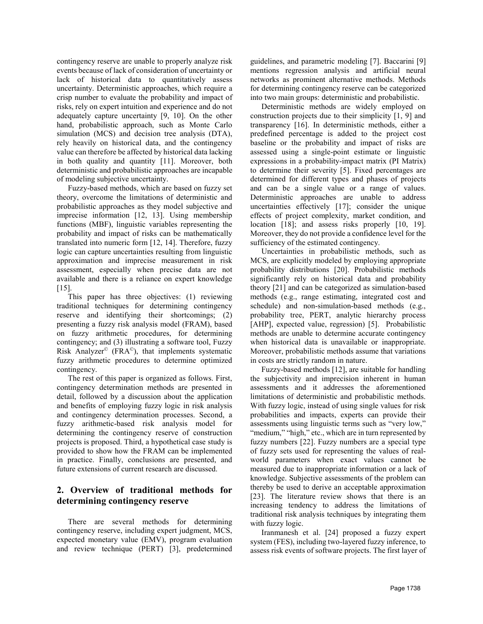contingency reserve are unable to properly analyze risk events because of lack of consideration of uncertainty or lack of historical data to quantitatively assess uncertainty. Deterministic approaches, which require a crisp number to evaluate the probability and impact of risks, rely on expert intuition and experience and do not adequately capture uncertainty [9, 10]. On the other hand, probabilistic approach, such as Monte Carlo simulation (MCS) and decision tree analysis (DTA), rely heavily on historical data, and the contingency value can therefore be affected by historical data lacking in both quality and quantity [11]. Moreover, both deterministic and probabilistic approaches are incapable of modeling subjective uncertainty.

Fuzzy-based methods, which are based on fuzzy set theory, overcome the limitations of deterministic and probabilistic approaches as they model subjective and imprecise information [12, 13]. Using membership functions (MBF), linguistic variables representing the probability and impact of risks can be mathematically translated into numeric form [12, 14]. Therefore, fuzzy logic can capture uncertainties resulting from linguistic approximation and imprecise measurement in risk assessment, especially when precise data are not available and there is a reliance on expert knowledge [15].

This paper has three objectives: (1) reviewing traditional techniques for determining contingency reserve and identifying their shortcomings; (2) presenting a fuzzy risk analysis model (FRAM), based on fuzzy arithmetic procedures, for determining contingency; and (3) illustrating a software tool, Fuzzy Risk Analyzer<sup>©</sup> (FRA<sup> $\circ$ </sup>), that implements systematic fuzzy arithmetic procedures to determine optimized contingency.

The rest of this paper is organized as follows. First, contingency determination methods are presented in detail, followed by a discussion about the application and benefits of employing fuzzy logic in risk analysis and contingency determination processes. Second, a fuzzy arithmetic-based risk analysis model for determining the contingency reserve of construction projects is proposed. Third, a hypothetical case study is provided to show how the FRAM can be implemented in practice. Finally, conclusions are presented, and future extensions of current research are discussed.

# **2. Overview of traditional methods for determining contingency reserve**

There are several methods for determining contingency reserve, including expert judgment, MCS, expected monetary value (EMV), program evaluation and review technique (PERT) [3], predetermined

guidelines, and parametric modeling [7]. Baccarini [9] mentions regression analysis and artificial neural networks as prominent alternative methods. Methods for determining contingency reserve can be categorized into two main groups: deterministic and probabilistic.

Deterministic methods are widely employed on construction projects due to their simplicity [1, 9] and transparency [16]. In deterministic methods, either a predefined percentage is added to the project cost baseline or the probability and impact of risks are assessed using a single-point estimate or linguistic expressions in a probability-impact matrix (PI Matrix) to determine their severity [5]. Fixed percentages are determined for different types and phases of projects and can be a single value or a range of values. Deterministic approaches are unable to address uncertainties effectively [17]; consider the unique effects of project complexity, market condition, and location [18]; and assess risks properly [10, 19]. Moreover, they do not provide a confidence level for the sufficiency of the estimated contingency.

Uncertainties in probabilistic methods, such as MCS, are explicitly modeled by employing appropriate probability distributions [20]. Probabilistic methods significantly rely on historical data and probability theory [21] and can be categorized as simulation-based methods (e.g., range estimating, integrated cost and schedule) and non-simulation-based methods (e.g., probability tree, PERT, analytic hierarchy process [AHP], expected value, regression) [5]. Probabilistic methods are unable to determine accurate contingency when historical data is unavailable or inappropriate. Moreover, probabilistic methods assume that variations in costs are strictly random in nature.

Fuzzy-based methods [12], are suitable for handling the subjectivity and imprecision inherent in human assessments and it addresses the aforementioned limitations of deterministic and probabilistic methods. With fuzzy logic, instead of using single values for risk probabilities and impacts, experts can provide their assessments using linguistic terms such as "very low," "medium," "high," etc., which are in turn represented by fuzzy numbers [22]. Fuzzy numbers are a special type of fuzzy sets used for representing the values of realworld parameters when exact values cannot be measured due to inappropriate information or a lack of knowledge. Subjective assessments of the problem can thereby be used to derive an acceptable approximation [23]. The literature review shows that there is an increasing tendency to address the limitations of traditional risk analysis techniques by integrating them with fuzzy logic.

Iranmanesh et al. [24] proposed a fuzzy expert system (FES), including two-layered fuzzy inference, to assess risk events of software projects. The first layer of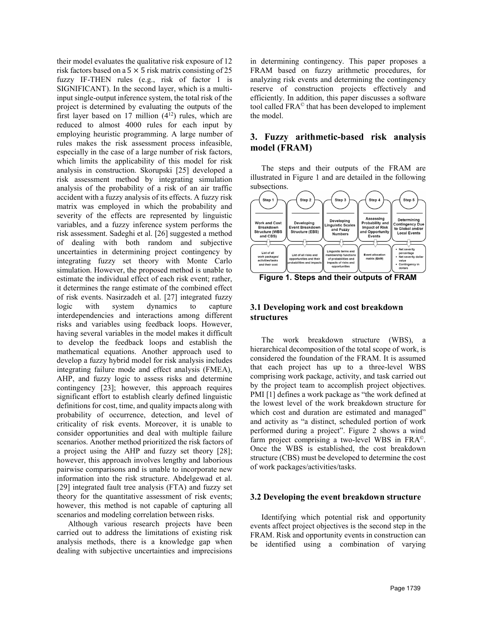their model evaluates the qualitative risk exposure of 12 risk factors based on a  $5 \times 5$  risk matrix consisting of 25 fuzzy IF-THEN rules (e.g., risk of factor 1 is SIGNIFICANT). In the second layer, which is a multiinput single-output inference system, the total risk of the project is determined by evaluating the outputs of the first layer based on 17 million  $(4^{12})$  rules, which are reduced to almost 4000 rules for each input by employing heuristic programming. A large number of rules makes the risk assessment process infeasible, especially in the case of a large number of risk factors, which limits the applicability of this model for risk analysis in construction. Skorupski [25] developed a risk assessment method by integrating simulation analysis of the probability of a risk of an air traffic accident with a fuzzy analysis of its effects. A fuzzy risk matrix was employed in which the probability and severity of the effects are represented by linguistic variables, and a fuzzy inference system performs the risk assessment. Sadeghi et al. [26] suggested a method of dealing with both random and subjective uncertainties in determining project contingency by integrating fuzzy set theory with Monte Carlo simulation. However, the proposed method is unable to estimate the individual effect of each risk event; rather, it determines the range estimate of the combined effect of risk events. Nasirzadeh et al. [27] integrated fuzzy logic with system dynamics to capture interdependencies and interactions among different risks and variables using feedback loops. However, having several variables in the model makes it difficult to develop the feedback loops and establish the mathematical equations. Another approach used to develop a fuzzy hybrid model for risk analysis includes integrating failure mode and effect analysis (FMEA), AHP, and fuzzy logic to assess risks and determine contingency [23]; however, this approach requires significant effort to establish clearly defined linguistic definitions for cost, time, and quality impacts along with probability of occurrence, detection, and level of criticality of risk events. Moreover, it is unable to consider opportunities and deal with multiple failure scenarios. Another method prioritized the risk factors of a project using the AHP and fuzzy set theory [28]; however, this approach involves lengthy and laborious pairwise comparisons and is unable to incorporate new information into the risk structure. Abdelgewad et al. [29] integrated fault tree analysis (FTA) and fuzzy set theory for the quantitative assessment of risk events; however, this method is not capable of capturing all scenarios and modeling correlation between risks.

Although various research projects have been carried out to address the limitations of existing risk analysis methods, there is a knowledge gap when dealing with subjective uncertainties and imprecisions

in determining contingency. This paper proposes a FRAM based on fuzzy arithmetic procedures, for analyzing risk events and determining the contingency reserve of construction projects effectively and efficiently. In addition, this paper discusses a software tool called FRA© that has been developed to implement the model.

## **3. Fuzzy arithmetic-based risk analysis model (FRAM)**

The steps and their outputs of the FRAM are illustrated in Figure 1 and are detailed in the following subsections.



**Figure 1. Steps and their outputs of FRAM**

## **3.1 Developing work and cost breakdown structures**

The work breakdown structure (WBS), a hierarchical decomposition of the total scope of work, is considered the foundation of the FRAM. It is assumed that each project has up to a three-level WBS comprising work package, activity, and task carried out by the project team to accomplish project objectives. PMI [1] defines a work package as "the work defined at the lowest level of the work breakdown structure for which cost and duration are estimated and managed" and activity as "a distinct, scheduled portion of work performed during a project". Figure 2 shows a wind farm project comprising a two-level WBS in FRA©. Once the WBS is established, the cost breakdown structure (CBS) must be developed to determine the cost of work packages/activities/tasks.

#### **3.2 Developing the event breakdown structure**

Identifying which potential risk and opportunity events affect project objectives is the second step in the FRAM. Risk and opportunity events in construction can be identified using a combination of varying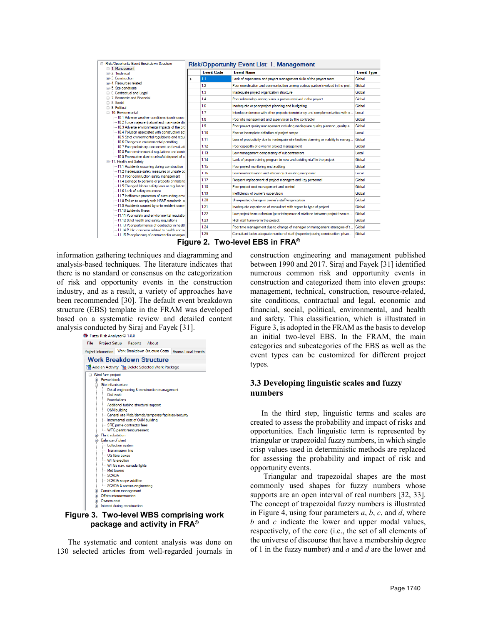| E - Risk/Opportunity Event Breakdown Structure                                                                                                    | <b>Risk/Opportunity Event List: 1. Management</b> |                   |                                                                                       |                   |  |  |  |
|---------------------------------------------------------------------------------------------------------------------------------------------------|---------------------------------------------------|-------------------|---------------------------------------------------------------------------------------|-------------------|--|--|--|
| E 1. Management<br><b>E</b> 2. Technical                                                                                                          |                                                   | <b>Event Code</b> | <b>Event Name</b>                                                                     | <b>Event Type</b> |  |  |  |
| Fi-3 Construction<br>4. Resources related<br>Fi-5 Site conditions<br>i- 6. Contractual and Legal                                                  |                                                   | 1.1               | Lack of experience and project management skills of the project team                  | Global            |  |  |  |
|                                                                                                                                                   |                                                   | 12                | Poor coordination and communication among various parties involved in the proi        | Global            |  |  |  |
|                                                                                                                                                   |                                                   | 1.3               | Inadequate project organization structure                                             | Global            |  |  |  |
| <b>Fig. 7 Economic and Financial</b>                                                                                                              |                                                   | 1.4               | Poor relationship among various parties involved in the project                       | Global            |  |  |  |
| F-8 Social                                                                                                                                        |                                                   | 1.6               |                                                                                       | Global            |  |  |  |
| <b>E-9. Political</b>                                                                                                                             |                                                   |                   | Inadequate or poor project planning and budgeting                                     |                   |  |  |  |
| <b>E-10</b> Environmental                                                                                                                         |                                                   | 1.7               | Interdependencies with other projects (consistency and complementarities with o       | Local             |  |  |  |
| - 10.1 Adverse weather conditions (continuous                                                                                                     |                                                   | 1.8               | Poor site management and supervision by the contractor                                | Global            |  |  |  |
| 10.2 Force majeure (natural and man-made dis<br>--- 10.3 Adverse environmental impacts of the pro                                                 |                                                   | 1.9               | Poor project quality management including inadequate quality planning, quality a      | Global            |  |  |  |
| -10.4 Pollution associated with construction act                                                                                                  |                                                   | 1.10              | Poor or incomplete definition of project scope                                        | Local             |  |  |  |
| --- 10.5 Strict environmental regulations and requi<br>10.6 Changes in environmental permitting<br>-10.7 Poor preliminary assessment and evaluati |                                                   | 1.11              | Loss of productivity due to inadequate site facilities planning or inability to manag | Global            |  |  |  |
|                                                                                                                                                   |                                                   | 1.12              | Poor capability of owner in project management                                        | Global            |  |  |  |
| 10.8 Poor environmental regulations and contri                                                                                                    |                                                   | 1.13              | Low management competency of subcontractors                                           | Local             |  |  |  |
| - 10.9 Prosecution due to unlawful disposal of cl<br>11. Health and Safety                                                                        |                                                   | 1.14              | Lack of proper training program to new and existing staff in the project              | Global            |  |  |  |
| -11.1 Accidents occurring during construction                                                                                                     |                                                   | 1.15              | Poor project monitoring and auditing                                                  | Global            |  |  |  |
| - 11.2 Inadequate safety measures or unsafe or                                                                                                    |                                                   | 1.16              | Low level motivation and efficiency of existing manpower                              | Local             |  |  |  |
| -11.3 Poor construction safety management<br>-11.4 Damage to persons or property or material                                                      |                                                   | 1.17              | Frequent replacement of project managers and key personnel                            | Global            |  |  |  |
| -11.5 Changed labour safety laws or regulations                                                                                                   |                                                   | 1.18              | Poor project cost management and control                                              | Global            |  |  |  |
| -11.6 Lack of safety insurance<br>-11.7 Ineffective protection of surrounding envil                                                               |                                                   | 1.19              | Inefficiency of owner's supervisors                                                   | Global            |  |  |  |
| -11.8 Failure to comply with HS&E standards o                                                                                                     |                                                   | 1.20              | Unexpected change in owner's staff/organization                                       | Global            |  |  |  |
| -11.9 Accidents caused by or to resident comm                                                                                                     |                                                   | 1.21              | Inadequate experience of consultant with regard to type of project                    | Global            |  |  |  |
| - 11.10 Epidemic illness<br>-11.11 Poor safety and environmental regulation                                                                       |                                                   | 1.22              | Low project team cohesion (poor interpersonal relations between project team m        | Global            |  |  |  |
| -- 11.12 Strict health and safety regulations                                                                                                     |                                                   | 1.23              | High staff tumover in the project                                                     | Global            |  |  |  |
| -11.13 Poor performance of contractor in health                                                                                                   |                                                   | 1.24              | Poor time management due to change of manager or management strategies of t           | Global            |  |  |  |
| -11.14 Public concerns related to health and sai<br>11.15 Poor planning of contractor for emergen                                                 |                                                   | 1.25              | Consultant lacks adequate number of staff (inspector) during construction phas        | Global            |  |  |  |

**Figure 2. Two-level EBS in FRA©**

information gathering techniques and diagramming and analysis-based techniques. The literature indicates that there is no standard or consensus on the categorization of risk and opportunity events in the construction industry, and as a result, a variety of approaches have been recommended [30]. The default event breakdown structure (EBS) template in the FRAM was developed based on a systematic review and detailed content analysis conducted by Siraj and Fayek [31].<br>  $\bullet$  Fuzzy Risk Analyzer© 1.0.0



## **Figure 3. Two-level WBS comprising work package and activity in FRA©**

The systematic and content analysis was done on 130 selected articles from well-regarded journals in construction engineering and management published between 1990 and 2017. Siraj and Fayek [31] identified numerous common risk and opportunity events in construction and categorized them into eleven groups: management, technical, construction, resource-related, site conditions, contractual and legal, economic and financial, social, political, environmental, and health and safety. This classification, which is illustrated in Figure 3, is adopted in the FRAM as the basis to develop an initial two-level EBS. In the FRAM, the main categories and subcategories of the EBS as well as the event types can be customized for different project types.

## **3.3 Developing linguistic scales and fuzzy numbers**

In the third step, linguistic terms and scales are created to assess the probability and impact of risks and opportunities. Each linguistic term is represented by triangular or trapezoidal fuzzy numbers, in which single crisp values used in deterministic methods are replaced for assessing the probability and impact of risk and opportunity events.

Triangular and trapezoidal shapes are the most commonly used shapes for fuzzy numbers whose supports are an open interval of real numbers [32, 33]. The concept of trapezoidal fuzzy numbers is illustrated in Figure 4, using four parameters *a*, *b*, *c*, and *d*, where *b* and *c* indicate the lower and upper modal values, respectively, of the core (i.e., the set of all elements of the universe of discourse that have a membership degree of 1 in the fuzzy number) and *a* and *d* are the lower and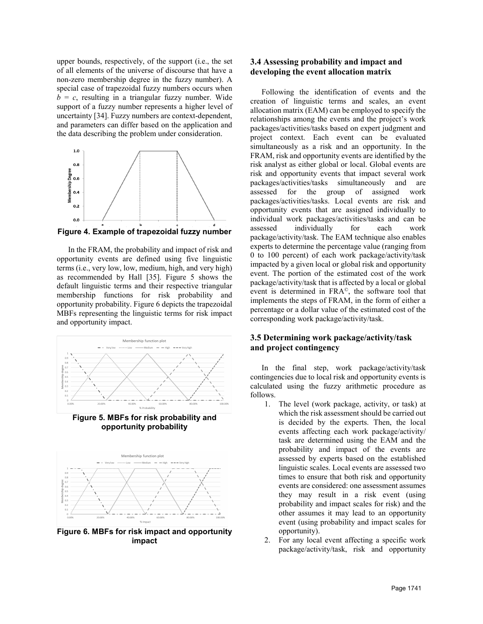upper bounds, respectively, of the support (i.e., the set of all elements of the universe of discourse that have a non-zero membership degree in the fuzzy number). A special case of trapezoidal fuzzy numbers occurs when  $b = c$ , resulting in a triangular fuzzy number. Wide support of a fuzzy number represents a higher level of uncertainty [34]. Fuzzy numbers are context-dependent, and parameters can differ based on the application and the data describing the problem under consideration.



**Figure 4. Example of trapezoidal fuzzy number**

In the FRAM, the probability and impact of risk and opportunity events are defined using five linguistic terms (i.e., very low, low, medium, high, and very high) as recommended by Hall [35]. Figure 5 shows the default linguistic terms and their respective triangular membership functions for risk probability and opportunity probability. Figure 6 depicts the trapezoidal MBFs representing the linguistic terms for risk impact and opportunity impact.



**Figure 5. MBFs for risk probability and opportunity probability**



**Figure 6. MBFs for risk impact and opportunity impact**

## **3.4 Assessing probability and impact and developing the event allocation matrix**

Following the identification of events and the creation of linguistic terms and scales, an event allocation matrix (EAM) can be employed to specify the relationships among the events and the project's work packages/activities/tasks based on expert judgment and project context. Each event can be evaluated simultaneously as a risk and an opportunity. In the FRAM, risk and opportunity events are identified by the risk analyst as either global or local. Global events are risk and opportunity events that impact several work packages/activities/tasks simultaneously and are assessed for the group of assigned work packages/activities/tasks. Local events are risk and opportunity events that are assigned individually to individual work packages/activities/tasks and can be assessed individually for each work package/activity/task. The EAM technique also enables experts to determine the percentage value (ranging from 0 to 100 percent) of each work package/activity/task impacted by a given local or global risk and opportunity event. The portion of the estimated cost of the work package/activity/task that is affected by a local or global event is determined in FRA©, the software tool that implements the steps of FRAM, in the form of either a percentage or a dollar value of the estimated cost of the corresponding work package/activity/task.

## **3.5 Determining work package/activity/task and project contingency**

In the final step, work package/activity/task contingencies due to local risk and opportunity events is calculated using the fuzzy arithmetic procedure as follows.

- 1. The level (work package, activity, or task) at which the risk assessment should be carried out is decided by the experts. Then, the local events affecting each work package/activity/ task are determined using the EAM and the probability and impact of the events are assessed by experts based on the established linguistic scales. Local events are assessed two times to ensure that both risk and opportunity events are considered: one assessment assumes they may result in a risk event (using probability and impact scales for risk) and the other assumes it may lead to an opportunity event (using probability and impact scales for opportunity).
- 2. For any local event affecting a specific work package/activity/task, risk and opportunity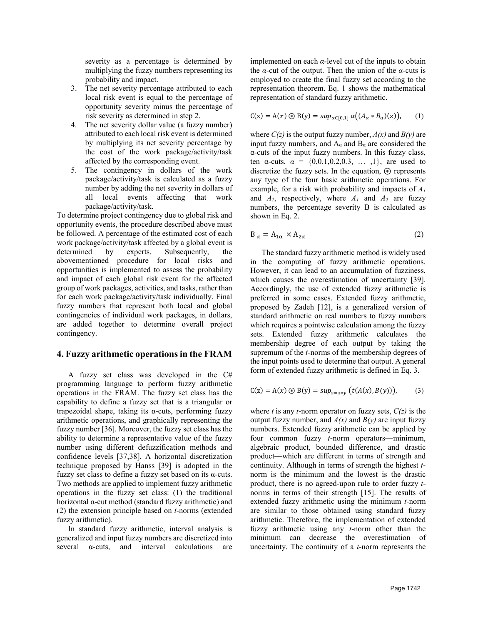severity as a percentage is determined by multiplying the fuzzy numbers representing its probability and impact.

- 3. The net severity percentage attributed to each local risk event is equal to the percentage of opportunity severity minus the percentage of risk severity as determined in step 2.
- 4. The net severity dollar value (a fuzzy number) attributed to each local risk event is determined by multiplying its net severity percentage by the cost of the work package/activity/task affected by the corresponding event.
- 5. The contingency in dollars of the work package/activity/task is calculated as a fuzzy number by adding the net severity in dollars of all local events affecting that work package/activity/task.

To determine project contingency due to global risk and opportunity events, the procedure described above must be followed. A percentage of the estimated cost of each work package/activity/task affected by a global event is determined by experts. Subsequently, the abovementioned procedure for local risks and opportunities is implemented to assess the probability and impact of each global risk event for the affected group of work packages, activities, and tasks, rather than for each work package/activity/task individually. Final fuzzy numbers that represent both local and global contingencies of individual work packages, in dollars, are added together to determine overall project contingency.

#### **4. Fuzzy arithmetic operations in the FRAM**

A fuzzy set class was developed in the C# programming language to perform fuzzy arithmetic operations in the FRAM. The fuzzy set class has the capability to define a fuzzy set that is a triangular or trapezoidal shape, taking its α-cuts, performing fuzzy arithmetic operations, and graphically representing the fuzzy number [36]. Moreover, the fuzzy set class has the ability to determine a representative value of the fuzzy number using different defuzzification methods and confidence levels [37,38]. A horizontal discretization technique proposed by Hanss [39] is adopted in the fuzzy set class to define a fuzzy set based on its  $\alpha$ -cuts. Two methods are applied to implement fuzzy arithmetic operations in the fuzzy set class: (1) the traditional horizontal α-cut method (standard fuzzy arithmetic) and (2) the extension principle based on *t*-norms (extended fuzzy arithmetic).

In standard fuzzy arithmetic, interval analysis is generalized and input fuzzy numbers are discretized into several  $\alpha$ -cuts, and interval calculations are

implemented on each *α*-level cut of the inputs to obtain the  $\alpha$ -cut of the output. Then the union of the  $\alpha$ -cuts is employed to create the final fuzzy set according to the representation theorem. Eq. 1 shows the mathematical representation of standard fuzzy arithmetic.

$$
C(z) = A(x) \odot B(y) = \sup_{\alpha \in [0,1]} \alpha((A_{\alpha} * B_{\alpha})(z)), \quad (1)
$$

where  $C(z)$  is the output fuzzy number,  $A(x)$  and  $B(y)$  are input fuzzy numbers, and  $A_{\alpha}$  and  $B_{\alpha}$  are considered the α-cuts of the input fuzzy numbers. In this fuzzy class, ten  $\alpha$ -cuts,  $\alpha = \{0, 0.1, 0.2, 0.3, \dots, 1\}$ , are used to discretize the fuzzy sets. In the equation, ⊛ represents any type of the four basic arithmetic operations. For example, for a risk with probability and impacts of *A1* and  $A_2$ , respectively, where  $A_1$  and  $A_2$  are fuzzy numbers, the percentage severity B is calculated as shown in Eq. 2.

$$
B_{\alpha} = A_{1\alpha} \times A_{2\alpha} \tag{2}
$$

The standard fuzzy arithmetic method is widely used in the computing of fuzzy arithmetic operations. However, it can lead to an accumulation of fuzziness, which causes the overestimation of uncertainty [39]. Accordingly, the use of extended fuzzy arithmetic is preferred in some cases. Extended fuzzy arithmetic, proposed by Zadeh [12], is a generalized version of standard arithmetic on real numbers to fuzzy numbers which requires a pointwise calculation among the fuzzy sets. Extended fuzzy arithmetic calculates the membership degree of each output by taking the supremum of the *t*-norms of the membership degrees of the input points used to determine that output. A general form of extended fuzzy arithmetic is defined in Eq. 3.

$$
C(z) = A(x) \odot B(y) = \sup_{z = x * y} (t(A(x), B(y))),
$$
 (3)

where *t* is any *t*-norm operator on fuzzy sets, *C(z)* is the output fuzzy number, and  $A(x)$  and  $B(y)$  are input fuzzy numbers. Extended fuzzy arithmetic can be applied by four common fuzzy *t*-norm operators—minimum, algebraic product, bounded difference, and drastic product—which are different in terms of strength and continuity. Although in terms of strength the highest *t*norm is the minimum and the lowest is the drastic product, there is no agreed-upon rule to order fuzzy *t*norms in terms of their strength [15]. The results of extended fuzzy arithmetic using the minimum *t*-norm are similar to those obtained using standard fuzzy arithmetic. Therefore, the implementation of extended fuzzy arithmetic using any *t*-norm other than the minimum can decrease the overestimation of uncertainty. The continuity of a *t*-norm represents the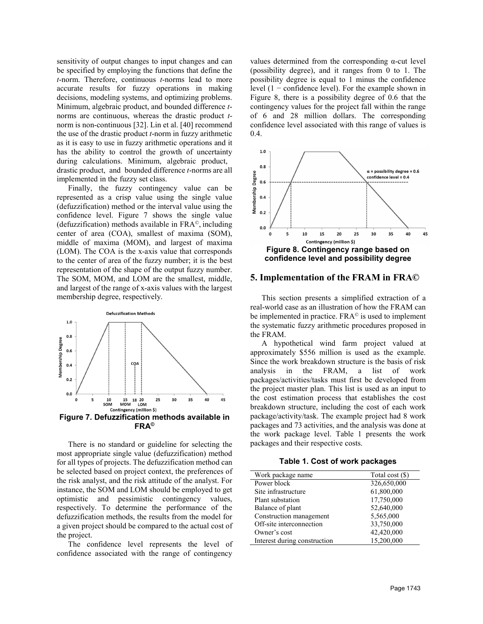sensitivity of output changes to input changes and can be specified by employing the functions that define the *t*-norm. Therefore, continuous *t*-norms lead to more accurate results for fuzzy operations in making decisions, modeling systems, and optimizing problems. Minimum, algebraic product, and bounded difference *t*norms are continuous, whereas the drastic product *t*norm is non-continuous [32]. Lin et al. [40] recommend the use of the drastic product *t*-norm in fuzzy arithmetic as it is easy to use in fuzzy arithmetic operations and it has the ability to control the growth of uncertainty during calculations. Minimum, algebraic product, drastic product, and bounded difference *t*-norms are all implemented in the fuzzy set class.

Finally, the fuzzy contingency value can be represented as a crisp value using the single value (defuzzification) method or the interval value using the confidence level. Figure 7 shows the single value (defuzzification) methods available in FRA©, including center of area (COA), smallest of maxima (SOM), middle of maxima (MOM), and largest of maxima (LOM). The COA is the x-axis value that corresponds to the center of area of the fuzzy number; it is the best representation of the shape of the output fuzzy number. The SOM, MOM, and LOM are the smallest, middle, and largest of the range of x-axis values with the largest membership degree, respectively.



There is no standard or guideline for selecting the most appropriate single value (defuzzification) method for all types of projects. The defuzzification method can be selected based on project context, the preferences of the risk analyst, and the risk attitude of the analyst. For instance, the SOM and LOM should be employed to get optimistic and pessimistic contingency values, respectively. To determine the performance of the defuzzification methods, the results from the model for a given project should be compared to the actual cost of the project.

The confidence level represents the level of confidence associated with the range of contingency

values determined from the corresponding α-cut level (possibility degree), and it ranges from 0 to 1. The possibility degree is equal to 1 minus the confidence level  $(1 - \text{confidence level})$ . For the example shown in Figure 8, there is a possibility degree of 0.6 that the contingency values for the project fall within the range of 6 and 28 million dollars. The corresponding confidence level associated with this range of values is 0.4.



#### **5. Implementation of the FRAM in FRA©**

This section presents a simplified extraction of a real-world case as an illustration of how the FRAM can be implemented in practice.  $FRA^{\circ}$  is used to implement the systematic fuzzy arithmetic procedures proposed in the FRAM.

A hypothetical wind farm project valued at approximately \$556 million is used as the example. Since the work breakdown structure is the basis of risk analysis in the FRAM, a list of work packages/activities/tasks must first be developed from the project master plan. This list is used as an input to the cost estimation process that establishes the cost breakdown structure, including the cost of each work package/activity/task. The example project had 8 work packages and 73 activities, and the analysis was done at the work package level. Table 1 presents the work packages and their respective costs.

**Table 1. Cost of work packages**

| Work package name            | Total cost $(\$)$ |  |  |  |  |  |
|------------------------------|-------------------|--|--|--|--|--|
| Power block                  | 326,650,000       |  |  |  |  |  |
| Site infrastructure          | 61,800,000        |  |  |  |  |  |
| Plant substation             | 17,750,000        |  |  |  |  |  |
| Balance of plant             | 52,640,000        |  |  |  |  |  |
| Construction management      | 5,565,000         |  |  |  |  |  |
| Off-site interconnection     | 33,750,000        |  |  |  |  |  |
| Owner's cost                 | 42,420,000        |  |  |  |  |  |
| Interest during construction | 15,200,000        |  |  |  |  |  |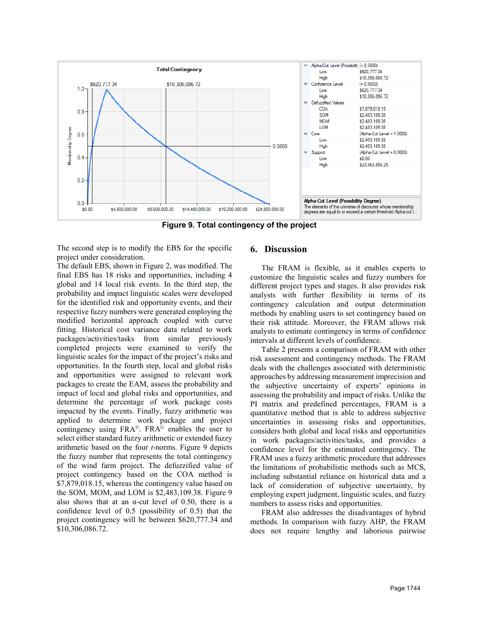

**Figure 9. Total contingency of the project**

The second step is to modify the EBS for the specific project under consideration.

The default EBS, shown in Figure 2, was modified. The final EBS has 18 risks and opportunities, including 4 global and 14 local risk events. In the third step, the probability and impact linguistic scales were developed for the identified risk and opportunity events, and their respective fuzzy numbers were generated employing the modified horizontal approach coupled with curve fitting. Historical cost variance data related to work packages/activities/tasks from similar previously completed projects were examined to verify the linguistic scales for the impact of the project's risks and opportunities. In the fourth step, local and global risks and opportunities were assigned to relevant work packages to create the EAM, assess the probability and impact of local and global risks and opportunities, and determine the percentage of work package costs impacted by the events. Finally, fuzzy arithmetic was applied to determine work package and project contingency using FRA©. FRA© enables the user to select either standard fuzzy arithmetic or extended fuzzy arithmetic based on the four *t*-norms. Figure 9 depicts the fuzzy number that represents the total contingency of the wind farm project. The defuzzified value of project contingency based on the COA method is \$7,879,018.15, whereas the contingency value based on the SOM, MOM, and LOM is \$2,483,109.38. Figure 9 also shows that at an  $\alpha$ -cut level of 0.50, there is a confidence level of 0.5 (possibility of 0.5) that the project contingency will be between \$620,777.34 and \$10,306,086.72.

## **6. Discussion**

The FRAM is flexible, as it enables experts to customize the linguistic scales and fuzzy numbers for different project types and stages. It also provides risk analysts with further flexibility in terms of its contingency calculation and output determination methods by enabling users to set contingency based on their risk attitude. Moreover, the FRAM allows risk analysts to estimate contingency in terms of confidence intervals at different levels of confidence.

Table 2 presents a comparison of FRAM with other risk assessment and contingency methods. The FRAM deals with the challenges associated with deterministic approaches by addressing measurement imprecision and the subjective uncertainty of experts' opinions in assessing the probability and impact of risks. Unlike the PI matrix and predefined percentages, FRAM is a quantitative method that is able to address subjective uncertainties in assessing risks and opportunities, considers both global and local risks and opportunities in work packages/activities/tasks, and provides a confidence level for the estimated contingency. The FRAM uses a fuzzy arithmetic procedure that addresses the limitations of probabilistic methods such as MCS, including substantial reliance on historical data and a lack of consideration of subjective uncertainty, by employing expert judgment, linguistic scales, and fuzzy numbers to assess risks and opportunities.

FRAM also addresses the disadvantages of hybrid methods. In comparison with fuzzy AHP, the FRAM does not require lengthy and laborious pairwise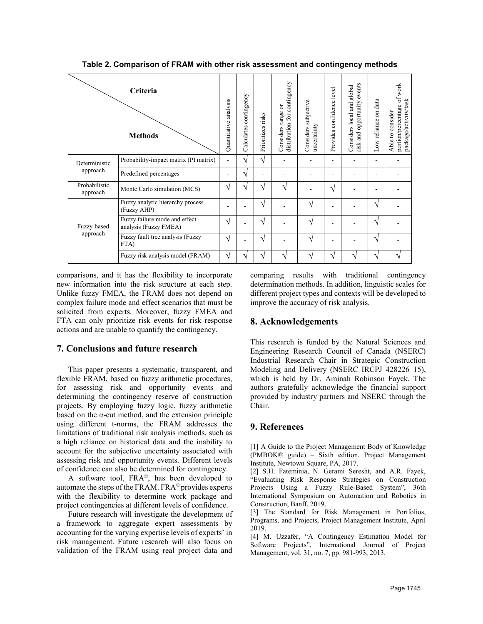| <b>Criteria</b><br><b>Methods</b> |                                                        | analysis<br>Quantitative | contingency<br>Calculates | Prioritizes risks | distribution for contingency<br>Considers range or | Considers subjective<br>uncertainty | Provides confidence level | events<br>Considers local and global<br>risk and opportunity | data<br>Low reliance on | portion/percentage of work<br>package/activity/task<br>Able to consider |
|-----------------------------------|--------------------------------------------------------|--------------------------|---------------------------|-------------------|----------------------------------------------------|-------------------------------------|---------------------------|--------------------------------------------------------------|-------------------------|-------------------------------------------------------------------------|
| Deterministic<br>approach         | Probability-impact matrix (PI matrix)                  |                          | $\sqrt{ }$                | N                 |                                                    |                                     |                           |                                                              |                         |                                                                         |
|                                   | Predefined percentages                                 |                          | $\gamma$                  |                   |                                                    |                                     |                           |                                                              |                         |                                                                         |
| Probabilistic<br>approach         | Monte Carlo simulation (MCS)                           |                          | $\mathbf{v}$              | ٦                 | ٦                                                  |                                     | N                         |                                                              |                         |                                                                         |
| Fuzzy-based<br>approach           | Fuzzy analytic hierarchy process<br>(Fuzzy AHP)        |                          |                           | ٦                 |                                                    | ٦                                   |                           |                                                              | ٦                       |                                                                         |
|                                   | Fuzzy failure mode and effect<br>analysis (Fuzzy FMEA) |                          |                           | ٦                 |                                                    | $\mathcal{L}$                       |                           |                                                              | ٦                       |                                                                         |
|                                   | Fuzzy fault tree analysis (Fuzzy<br>FTA)               |                          |                           | ٦                 |                                                    | ٦                                   |                           |                                                              | ٦                       |                                                                         |
|                                   | Fuzzy risk analysis model (FRAM)                       |                          | ٦                         | ٦                 |                                                    |                                     | ٦                         |                                                              | ٦                       |                                                                         |

**Table 2. Comparison of FRAM with other risk assessment and contingency methods**

comparisons, and it has the flexibility to incorporate new information into the risk structure at each step. Unlike fuzzy FMEA, the FRAM does not depend on complex failure mode and effect scenarios that must be solicited from experts. Moreover, fuzzy FMEA and FTA can only prioritize risk events for risk response actions and are unable to quantify the contingency.

#### **7. Conclusions and future research**

This paper presents a systematic, transparent, and flexible FRAM, based on fuzzy arithmetic procedures, for assessing risk and opportunity events and determining the contingency reserve of construction projects. By employing fuzzy logic, fuzzy arithmetic based on the  $\alpha$ -cut method, and the extension principle using different t-norms, the FRAM addresses the limitations of traditional risk analysis methods, such as a high reliance on historical data and the inability to account for the subjective uncertainty associated with assessing risk and opportunity events. Different levels of confidence can also be determined for contingency.

A software tool, FRA©, has been developed to automate the steps of the FRAM. FRA© provides experts with the flexibility to determine work package and project contingencies at different levels of confidence.

Future research will investigate the development of a framework to aggregate expert assessments by accounting for the varying expertise levels of experts' in risk management. Future research will also focus on validation of the FRAM using real project data and comparing results with traditional contingency determination methods. In addition, linguistic scales for different project types and contexts will be developed to improve the accuracy of risk analysis.

#### **8. Acknowledgements**

This research is funded by the Natural Sciences and Engineering Research Council of Canada (NSERC) Industrial Research Chair in Strategic Construction Modeling and Delivery (NSERC IRCPJ 428226–15), which is held by Dr. Aminah Robinson Fayek. The authors gratefully acknowledge the financial support provided by industry partners and NSERC through the Chair.

#### **9. References**

[1] A Guide to the Project Management Body of Knowledge (PMBOK® guide) – Sixth edition. Project Management Institute, Newtown Square, PA, 2017.

[2] S.H. Fateminia, N. Gerami Seresht, and A.R. Fayek, "Evaluating Risk Response Strategies on Construction Projects Using a Fuzzy Rule-Based System", 36th International Symposium on Automation and Robotics in Construction, Banff, 2019.

[3] The Standard for Risk Management in Portfolios, Programs, and Projects, Project Management Institute, April 2019.

[4] M. Uzzafer, "A Contingency Estimation Model for Software Projects", International Journal of Project Management, vol. 31, no. 7, pp. 981-993, 2013.